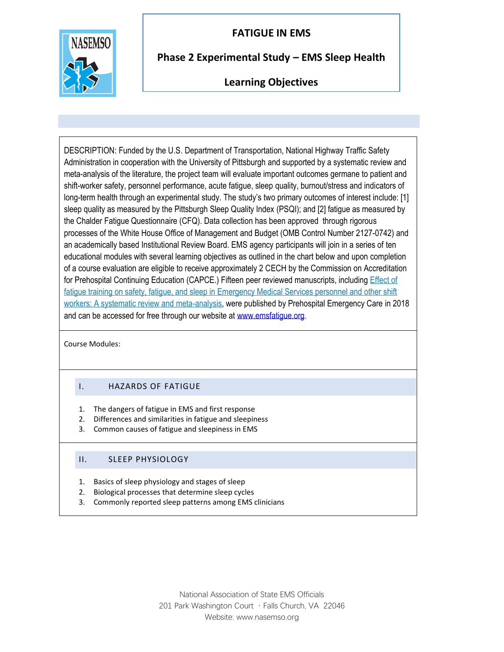# **FATIGUE IN EMS**



## **Phase 2 Experimental Study – EMS Sleep Health**

### **Learning Objectives**

DESCRIPTION: Funded by the U.S. Department of Transportation, National Highway Traffic Safety Administration in cooperation with the University of Pittsburgh and supported by a systematic review and meta-analysis of the literature, the project team will evaluate important outcomes germane to patient and shift-worker safety, personnel performance, acute fatigue, sleep quality, burnout/stress and indicators of long-term health through an experimental study. The study's two primary outcomes of interest include: [1] sleep quality as measured by the Pittsburgh Sleep Quality Index (PSQI); and [2] fatigue as measured by the Chalder Fatigue Questionnaire (CFQ). Data collection has been approved through rigorous processes of the White House Office of Management and Budget (OMB Control Number 2127-0742) and an academically based Institutional Review Board. EMS agency participants will join in a series of ten educational modules with several learning objectives as outlined in the chart below and upon completion of a course evaluation are eligible to receive approximately 2 CECH by the Commission on Accreditation for Prehospital Continuing Education (CAPCE.) Fifteen peer reviewed manuscripts, includin[g Effect of](http://tandfonline.com/doi/full/10.1080/10903127.2017.1362087)  [fatigue training on safety, fatigue, and sleep in Emergency Medical Services personnel and other shift](http://tandfonline.com/doi/full/10.1080/10903127.2017.1362087)  [workers: A systematic review and meta-analysis,](http://tandfonline.com/doi/full/10.1080/10903127.2017.1362087) were published by Prehospital Emergency Care in 2018 and can be accessed for free through our website at [www.emsfatigue.org.](http://www.emsfatigue.org/)

Course Modules:

#### I. HAZARDS OF FATIGUE

- 1. The dangers of fatigue in EMS and first response
- 2. Differences and similarities in fatigue and sleepiness
- 3. Common causes of fatigue and sleepiness in EMS

### II. SLEEP PHYSIOLOGY

- 1. Basics of sleep physiology and stages of sleep
- 2. Biological processes that determine sleep cycles
- 3. Commonly reported sleep patterns among EMS clinicians

National Association of State EMS Officials 201 Park Washington Court · Falls Church, VA 22046 Website: www.nasemso.org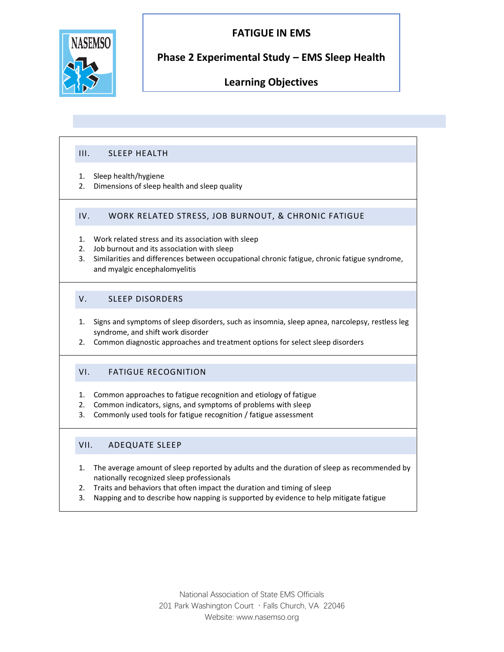



### **Phase 2 Experimental Study – EMS Sleep Health**

### **Learning Objectives**

#### III. SLEEP HEALTH

- 1. Sleep health/hygiene
- 2. Dimensions of sleep health and sleep quality

#### IV. WORK RELATED STRESS, JOB BURNOUT, & CHRONIC FATIGUE

- 1. Work related stress and its association with sleep
- 2. Job burnout and its association with sleep
- 3. Similarities and differences between occupational chronic fatigue, chronic fatigue syndrome, and myalgic encephalomyelitis

#### V. SLEEP DISORDERS

- 1. Signs and symptoms of sleep disorders, such as insomnia, sleep apnea, narcolepsy, restless leg syndrome, and shift work disorder
- 2. Common diagnostic approaches and treatment options for select sleep disorders

#### VI. FATIGUE RECOGNITION

- 1. Common approaches to fatigue recognition and etiology of fatigue
- 2. Common indicators, signs, and symptoms of problems with sleep
- 3. Commonly used tools for fatigue recognition / fatigue assessment

#### VII. ADEQUATE SLEEP

- 1. The average amount of sleep reported by adults and the duration of sleep as recommended by nationally recognized sleep professionals
- 2. Traits and behaviors that often impact the duration and timing of sleep
- 3. Napping and to describe how napping is supported by evidence to help mitigate fatigue